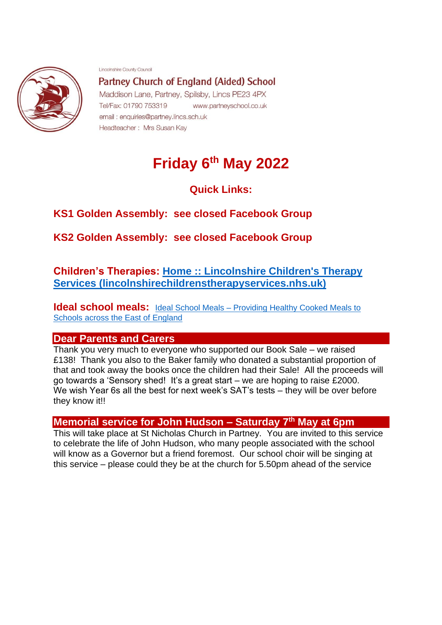

Lincolnshire County Council

Partney Church of England (Aided) School Maddison Lane, Partney, Spilsby, Lincs PE23 4PX Tel/Fax: 01790 753319 www.partneyschool.co.uk email: enquiries@partney.lincs.sch.uk Headteacher: Mrs Susan Kav

# **Friday 6th May 2022**

**Quick Links:**

# **KS1 Golden Assembly: see closed Facebook Group**

**KS2 Golden Assembly: see closed Facebook Group**

**Children's Therapies: [Home :: Lincolnshire Children's Therapy](https://www.lincolnshirechildrenstherapyservices.nhs.uk/?msclkid=be2a0f81c78b11ec8d496d114fcf4740)  [Services \(lincolnshirechildrenstherapyservices.nhs.uk\)](https://www.lincolnshirechildrenstherapyservices.nhs.uk/?msclkid=be2a0f81c78b11ec8d496d114fcf4740)**

**Ideal school meals:** Ideal School Meals – Providing Healthy Cooked Meals to [Schools across the East of England](http://www.idealschoolmeals.co.uk/?ideal)

## **Dear Parents and Carers**

Thank you very much to everyone who supported our Book Sale – we raised £138! Thank you also to the Baker family who donated a substantial proportion of that and took away the books once the children had their Sale! All the proceeds will go towards a 'Sensory shed! It's a great start – we are hoping to raise £2000. We wish Year 6s all the best for next week's SAT's tests – they will be over before they know it!!

## **Memorial service for John Hudson – Saturday 7th May at 6pm**

This will take place at St Nicholas Church in Partney. You are invited to this service to celebrate the life of John Hudson, who many people associated with the school will know as a Governor but a friend foremost. Our school choir will be singing at this service – please could they be at the church for 5.50pm ahead of the service